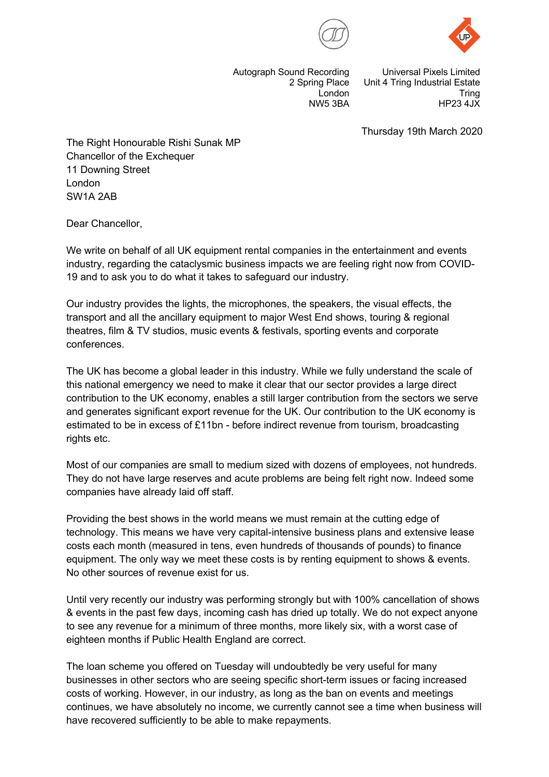



Autograph Sound Recording 2 Spring Place London NW5 3BA

Universal Pixels Limited Unit 4 Tring Industrial Estate **Tring** HP23 4JX

Thursday 19th March 2020

The Right Honourable Rishi Sunak MP Chancellor of the Exchequer 11 Downing Street London SW1A 2AB

Dear Chancellor,

We write on behalf of all UK equipment rental companies in the entertainment and events industry, regarding the cataclysmic business impacts we are feeling right now from COVID-19 and to ask you to do what it takes to safeguard our industry.

Our industry provides the lights, the microphones, the speakers, the visual effects, the transport and all the ancillary equipment to major West End shows, touring & regional theatres, film & TV studios, music events & festivals, sporting events and corporate conferences.

The UK has become a global leader in this industry. While we fully understand the scale of this national emergency we need to make it clear that our sector provides a large direct contribution to the UK economy, enables a still larger contribution from the sectors we serve and generates significant export revenue for the UK. Our contribution to the UK economy is estimated to be in excess of £11bn - before indirect revenue from tourism, broadcasting rights etc.

Most of our companies are small to medium sized with dozens of employees, not hundreds. They do not have large reserves and acute problems are being felt right now. Indeed some companies have already laid off staff.

Providing the best shows in the world means we must remain at the cutting edge of technology. This means we have very capital-intensive business plans and extensive lease costs each month (measured in tens, even hundreds of thousands of pounds) to finance equipment. The only way we meet these costs is by renting equipment to shows & events. No other sources of revenue exist for us.

Until very recently our industry was performing strongly but with 100% cancellation of shows & events in the past few days, incoming cash has dried up totally. We do not expect anyone to see any revenue for a minimum of three months, more likely six, with a worst case of eighteen months if Public Health England are correct.

The loan scheme you offered on Tuesday will undoubtedly be very useful for many businesses in other sectors who are seeing specific short-term issues or facing increased costs of working. However, in our industry, as long as the ban on events and meetings continues, we have absolutely no income, we currently cannot see a time when business will have recovered sufficiently to be able to make repayments.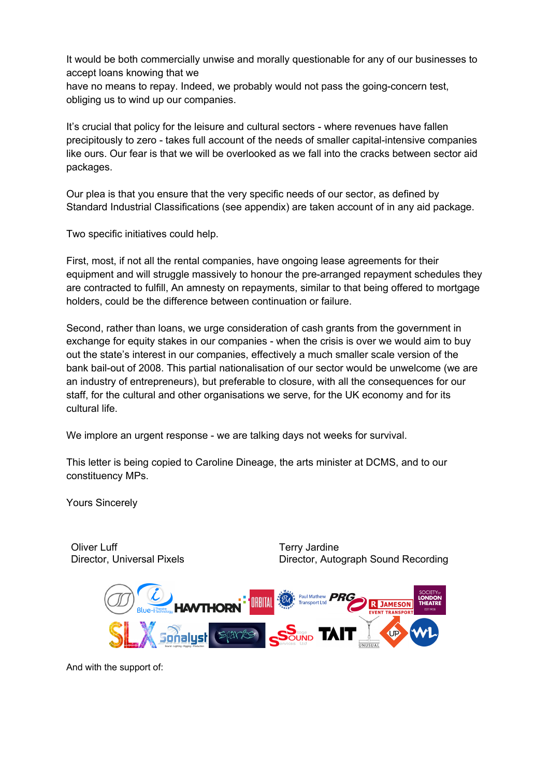It would be both commercially unwise and morally questionable for any of our businesses to accept loans knowing that we

have no means to repay. Indeed, we probably would not pass the going-concern test, obliging us to wind up our companies.

It's crucial that policy for the leisure and cultural sectors - where revenues have fallen precipitously to zero - takes full account of the needs of smaller capital-intensive companies like ours. Our fear is that we will be overlooked as we fall into the cracks between sector aid packages.

Our plea is that you ensure that the very specific needs of our sector, as defined by Standard Industrial Classifications (see appendix) are taken account of in any aid package.

Two specific initiatives could help.

First, most, if not all the rental companies, have ongoing lease agreements for their equipment and will struggle massively to honour the pre-arranged repayment schedules they are contracted to fulfill, An amnesty on repayments, similar to that being offered to mortgage holders, could be the difference between continuation or failure.

Second, rather than loans, we urge consideration of cash grants from the government in exchange for equity stakes in our companies - when the crisis is over we would aim to buy out the state's interest in our companies, effectively a much smaller scale version of the bank bail-out of 2008. This partial nationalisation of our sector would be unwelcome (we are an industry of entrepreneurs), but preferable to closure, with all the consequences for our staff, for the cultural and other organisations we serve, for the UK economy and for its cultural life.

We implore an urgent response - we are talking days not weeks for survival.

This letter is being copied to Caroline Dineage, the arts minister at DCMS, and to our constituency MPs.

Yours Sincerely

Oliver Luff Director, Universal Pixels Terry Jardine Director, Autograph Sound Recording



And with the support of: